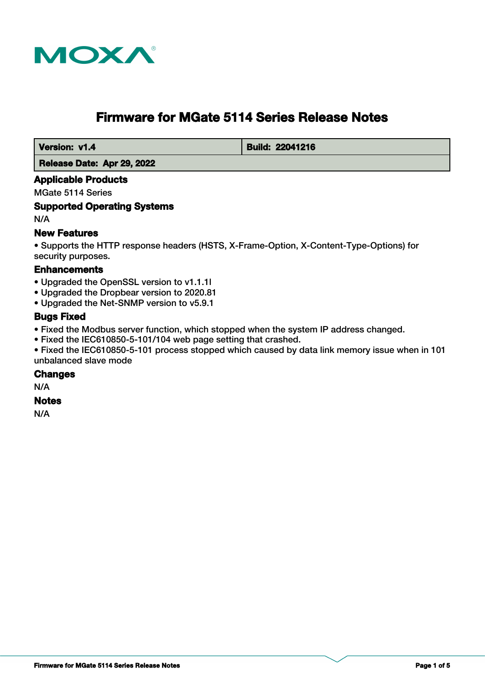

# **Firmware for MGate 5114 Series Release Notes**

 **Version: v1.4 Build: 22041216** 

 **Release Date: Apr 29, 2022**

## **Applicable Products**

MGate 5114 Series

#### **Supported Operating Systems**

N/A

#### **New Features**

• Supports the HTTP response headers (HSTS, X-Frame-Option, X-Content-Type-Options) for security purposes.

#### **Enhancements**

- Upgraded the OpenSSL version to v1.1.1l
- Upgraded the Dropbear version to 2020.81
- Upgraded the Net-SNMP version to v5.9.1

#### **Bugs Fixed**

- Fixed the Modbus server function, which stopped when the system IP address changed.
- Fixed the IEC610850-5-101/104 web page setting that crashed.

• Fixed the IEC610850-5-101 process stopped which caused by data link memory issue when in 101 unbalanced slave mode

#### **Changes**

N/A

#### **Notes**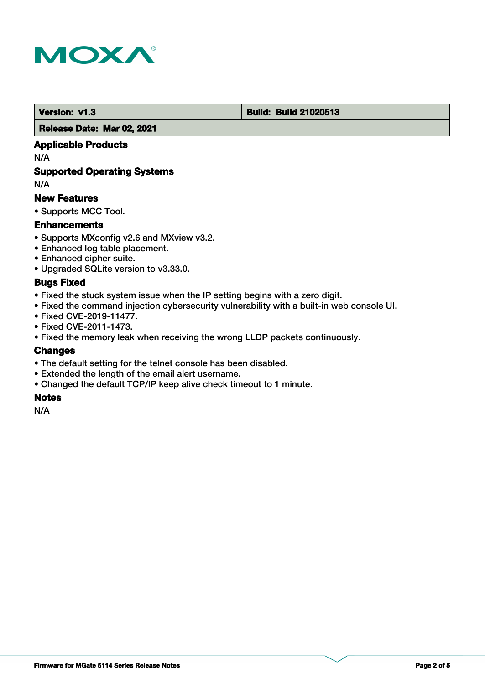

#### **Version: v1.3 Build: Build 21020513**

 **Release Date: Mar 02, 2021**

## **Applicable Products**

N/A

## **Supported Operating Systems**

N/A

#### **New Features**

• Supports MCC Tool.

#### **Enhancements**

- Supports MXconfig v2.6 and MXview v3.2.
- Enhanced log table placement.
- Enhanced cipher suite.
- Upgraded SQLite version to v3.33.0.

#### **Bugs Fixed**

- Fixed the stuck system issue when the IP setting begins with a zero digit.
- Fixed the command injection cybersecurity vulnerability with a built-in web console UI.
- Fixed CVE-2019-11477.
- Fixed CVE-2011-1473.
- Fixed the memory leak when receiving the wrong LLDP packets continuously.

## **Changes**

- The default setting for the telnet console has been disabled.
- Extended the length of the email alert username.
- Changed the default TCP/IP keep alive check timeout to 1 minute.

#### **Notes**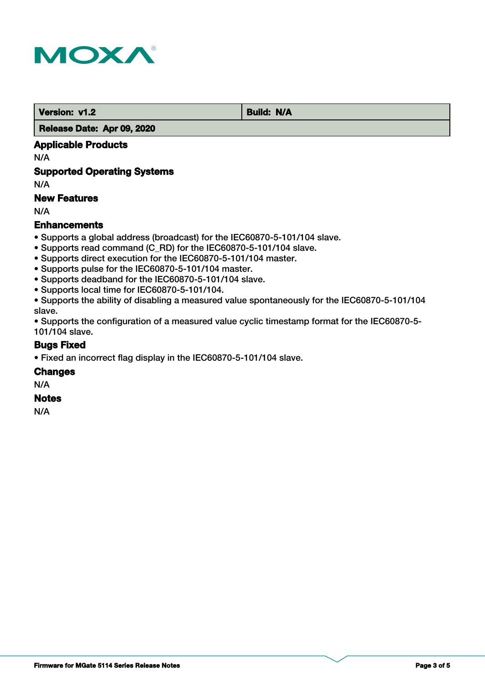

**Version: v1.2 Build: N/A** 

 **Release Date: Apr 09, 2020**

## **Applicable Products**

N/A

## **Supported Operating Systems**

N/A

## **New Features**

N/A

#### **Enhancements**

- Supports a global address (broadcast) for the IEC60870-5-101/104 slave.
- Supports read command (C\_RD) for the IEC60870-5-101/104 slave.
- Supports direct execution for the IEC60870-5-101/104 master.
- Supports pulse for the IEC60870-5-101/104 master.
- Supports deadband for the IEC60870-5-101/104 slave.
- Supports local time for IEC60870-5-101/104.
- Supports the ability of disabling a measured value spontaneously for the IEC60870-5-101/104 slave.

• Supports the configuration of a measured value cyclic timestamp format for the IEC60870-5- 101/104 slave.

#### **Bugs Fixed**

• Fixed an incorrect flag display in the IEC60870-5-101/104 slave.

#### **Changes**

N/A

#### **Notes**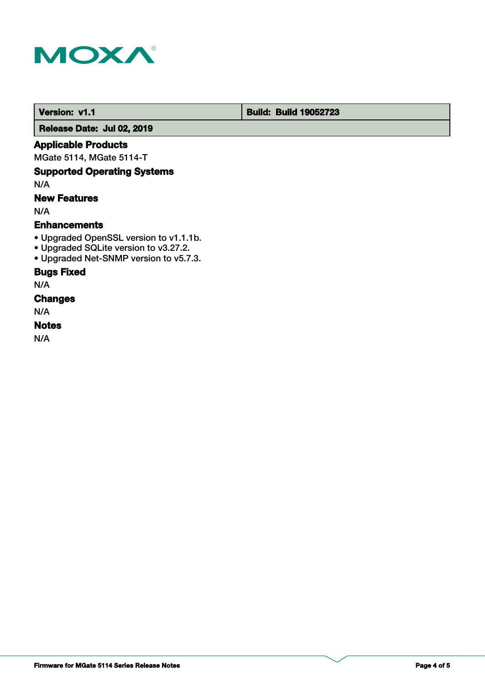

#### **Version: v1.1 Build: Build: Build 19052723**

 **Release Date: Jul 02, 2019**

## **Applicable Products**

MGate 5114, MGate 5114-T

## **Supported Operating Systems**

N/A

## **New Features**

N/A

## **Enhancements**

- Upgraded OpenSSL version to v1.1.1b.
- Upgraded SQLite version to v3.27.2.
- Upgraded Net-SNMP version to v5.7.3.

## **Bugs Fixed**

N/A

## **Changes**

N/A

## **Notes**